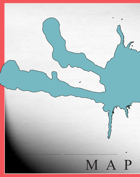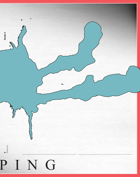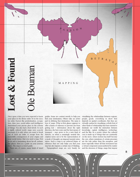

Once upon a time you were expected to know your place in the divine order. Or in the secular order. Factors like predestination, occupation, class, race, social milieu and intelligence determined your precise place in the scheme of things. You also had a fixed abode. In such a rigidly ordered world, maps were scarcely necessary. It is only when you want to break out of such an order, to escape from the inexorable consequences of your origins and your social status, that you need a map. First as an aid to fantasizing about far-off, unfamiliar places, then as a guide on your journey there. The map is a travel guide.

There are, of course, many kinds of travel

guides. Some are content merely to help you visualizing the relationships between regions, find your destination. Others take an active part in defining that destination. The same is true of maps. What at first glance appears to offer a frame of reference to prevent one from getting lost – information about the right direction, the best route and the best means of transport – may prove to be a new kind of rhetoric, as when a seemingly neutral description turns out to be the representation of a mode of thought, an imposed mental orientation. Such a map is an enforced frame of reference that not only helps you find your way but also imposes a certain way of thinking. Topographical maps are very handy for

people, goods, everything in short that depends on spatial coordinates. But they are virtually useless for visualizing a whole host of other kinds of relationship that have started to dominate our world: the interaction between knowledge, capital, intelligence, technology and the like. In a society where the cultural core is made up of things that are constantly on the move, where motion has itself become the core, where mutations of certain processes are the rule rather than the exception, and more especially where all that movement has a virtual component unencumbered by matter and the slowness of things, maps that impose

**10**